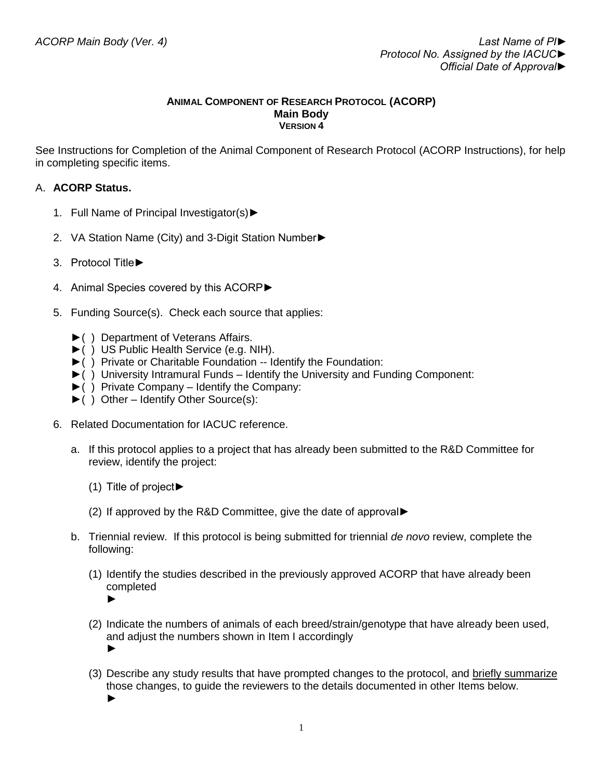#### **ANIMAL COMPONENT OF RESEARCH PROTOCOL (ACORP) Main Body VERSION 4**

See Instructions for Completion of the Animal Component of Research Protocol (ACORP Instructions), for help in completing specific items.

# A. **ACORP Status.**

- 1. Full Name of Principal Investigator(s)►
- 2. VA Station Name (City) and 3-Digit Station Number►
- 3. Protocol Title►
- 4. Animal Species covered by this ACORP►
- 5. Funding Source(s). Check each source that applies:
	- ►( ) Department of Veterans Affairs.
	- ►( ) US Public Health Service (e.g. NIH).
	- ►( ) Private or Charitable Foundation -- Identify the Foundation:
	- ►( ) University Intramural Funds Identify the University and Funding Component:
	- ►( ) Private Company Identify the Company:
	- ►( ) Other Identify Other Source(s):
- 6. Related Documentation for IACUC reference.
	- a. If this protocol applies to a project that has already been submitted to the R&D Committee for review, identify the project:
		- (1) Title of project►
		- (2) If approved by the R&D Committee, give the date of approval►
	- b. Triennial review. If this protocol is being submitted for triennial *de novo* review, complete the following:
		- (1) Identify the studies described in the previously approved ACORP that have already been completed
			- ►
		- (2) Indicate the numbers of animals of each breed/strain/genotype that have already been used, and adjust the numbers shown in Item I accordingly ►
		- (3) Describe any study results that have prompted changes to the protocol, and briefly summarize those changes, to guide the reviewers to the details documented in other Items below. ►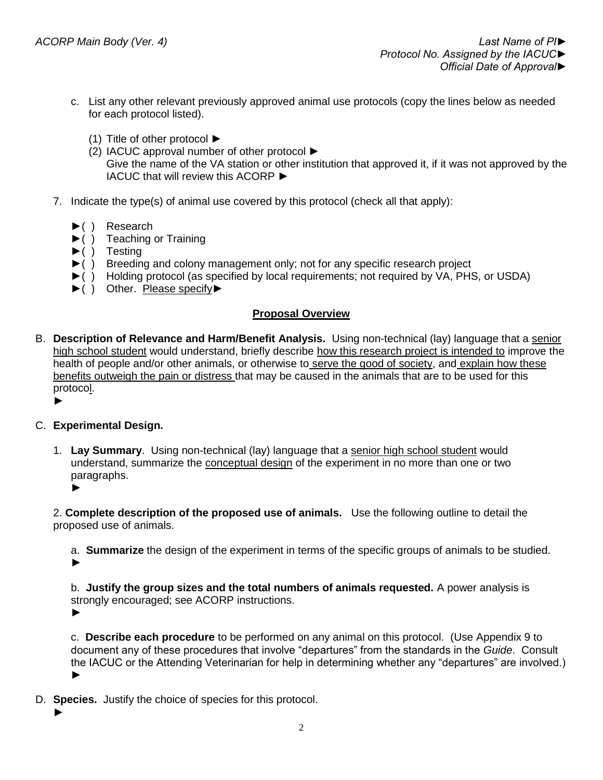- c. List any other relevant previously approved animal use protocols (copy the lines below as needed for each protocol listed).
	- (1) Title of other protocol ►
	- (2) IACUC approval number of other protocol ►
		- Give the name of the VA station or other institution that approved it, if it was not approved by the IACUC that will review this ACORP ►
- 7. Indicate the type(s) of animal use covered by this protocol (check all that apply):
	- ►( ) Research
	- ►( ) Teaching or Training
	- $\blacktriangleright$ ( ) Testing
	- ►( ) Breeding and colony management only; not for any specific research project
	- ►( ) Holding protocol (as specified by local requirements; not required by VA, PHS, or USDA)
	- ►( ) Other. Please specify►

# **Proposal Overview**

- B. **Description of Relevance and Harm/Benefit Analysis.** Using non-technical (lay) language that a senior high school student would understand, briefly describe how this research project is intended to improve the health of people and/or other animals, or otherwise to serve the good of society, and explain how these benefits outweigh the pain or distress that may be caused in the animals that are to be used for this protocol.
	- ►

## C. **Experimental Design.**

1. **Lay Summary**. Using non-technical (lay) language that a senior high school student would understand, summarize the conceptual design of the experiment in no more than one or two paragraphs. ►

2. **Complete description of the proposed use of animals.** Use the following outline to detail the proposed use of animals.

a. **Summarize** the design of the experiment in terms of the specific groups of animals to be studied. ►

b. **Justify the group sizes and the total numbers of animals requested.** A power analysis is strongly encouraged; see ACORP instructions.

►

c. **Describe each procedure** to be performed on any animal on this protocol. (Use Appendix 9 to document any of these procedures that involve "departures" from the standards in the *Guide*. Consult the IACUC or the Attending Veterinarian for help in determining whether any "departures" are involved.) ►

- D. **Species.** Justify the choice of species for this protocol.
	- ►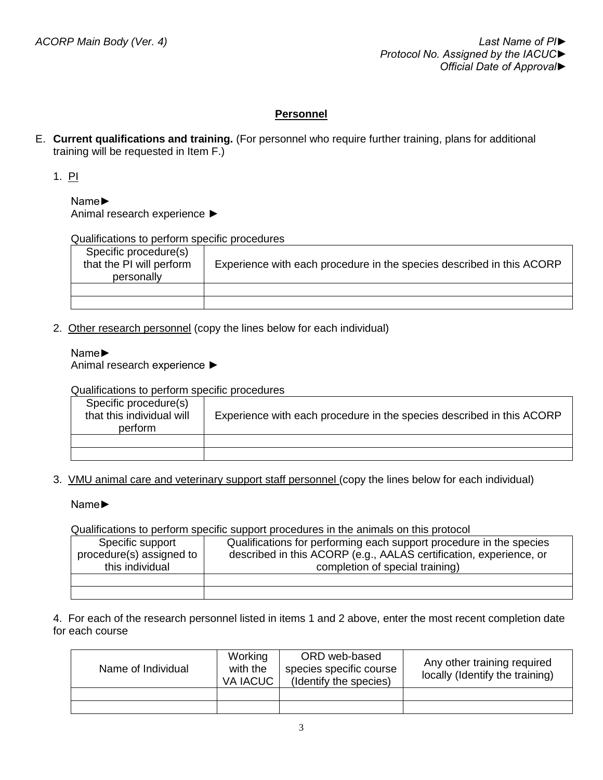# **Personnel**

E. **Current qualifications and training.** (For personnel who require further training, plans for additional training will be requested in Item F.)

1. PI

Name► Animal research experience ►

Qualifications to perform specific procedures

| Specific procedure(s)<br>that the PI will perform<br>personally | Experience with each procedure in the species described in this ACORP |
|-----------------------------------------------------------------|-----------------------------------------------------------------------|
|                                                                 |                                                                       |
|                                                                 |                                                                       |

2. Other research personnel (copy the lines below for each individual)

### Name►

Animal research experience ►

Qualifications to perform specific procedures

| Specific procedure(s)<br>that this individual will<br>perform | Experience with each procedure in the species described in this ACORP |
|---------------------------------------------------------------|-----------------------------------------------------------------------|
|                                                               |                                                                       |
|                                                               |                                                                       |

3. VMU animal care and veterinary support staff personnel (copy the lines below for each individual)

Name►

Qualifications to perform specific support procedures in the animals on this protocol

| Specific support<br>procedure(s) assigned to<br>this individual | Qualifications for performing each support procedure in the species<br>described in this ACORP (e.g., AALAS certification, experience, or<br>completion of special training) |
|-----------------------------------------------------------------|------------------------------------------------------------------------------------------------------------------------------------------------------------------------------|
|                                                                 |                                                                                                                                                                              |
|                                                                 |                                                                                                                                                                              |

4. For each of the research personnel listed in items 1 and 2 above, enter the most recent completion date for each course

| Name of Individual | Working<br>with the<br>VA IACUC | ORD web-based<br>species specific course<br>(Identify the species) | Any other training required<br>locally (Identify the training) |
|--------------------|---------------------------------|--------------------------------------------------------------------|----------------------------------------------------------------|
|                    |                                 |                                                                    |                                                                |
|                    |                                 |                                                                    |                                                                |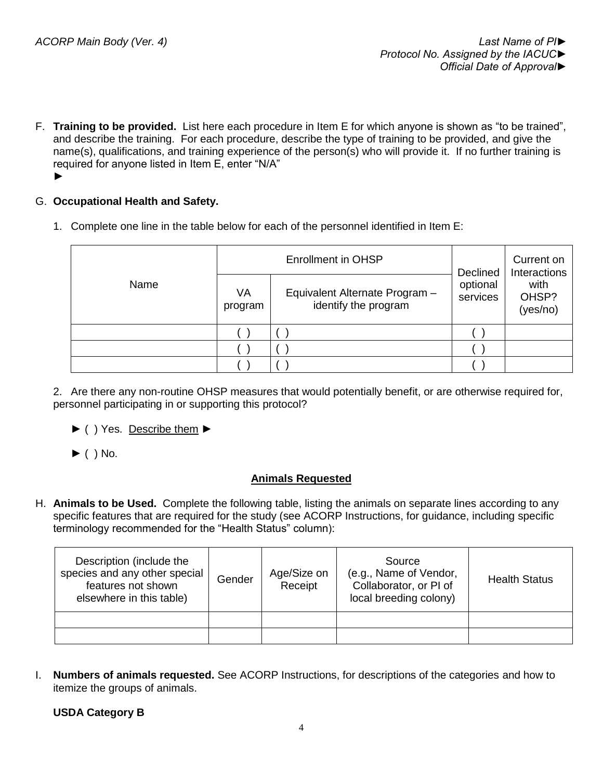F. **Training to be provided.** List here each procedure in Item E for which anyone is shown as "to be trained", and describe the training. For each procedure, describe the type of training to be provided, and give the name(s), qualifications, and training experience of the person(s) who will provide it. If no further training is required for anyone listed in Item E, enter "N/A" ►

## G. **Occupational Health and Safety.**

1. Complete one line in the table below for each of the personnel identified in Item E:

|      |               | <b>Enrollment in OHSP</b>                              | Declined             | Current on<br>Interactions |
|------|---------------|--------------------------------------------------------|----------------------|----------------------------|
| Name | VA<br>program | Equivalent Alternate Program -<br>identify the program | optional<br>services | with<br>OHSP?<br>(yes/no)  |
|      |               |                                                        |                      |                            |
|      |               |                                                        |                      |                            |
|      |               |                                                        |                      |                            |

2. Are there any non-routine OHSP measures that would potentially benefit, or are otherwise required for, personnel participating in or supporting this protocol?

- ► ( ) Yes. Describe them ►
- $\blacktriangleright$  ( ) No.

## **Animals Requested**

H. **Animals to be Used.** Complete the following table, listing the animals on separate lines according to any specific features that are required for the study (see ACORP Instructions, for guidance, including specific terminology recommended for the "Health Status" column):

| Description (include the<br>species and any other special<br>features not shown<br>elsewhere in this table) | Gender | Age/Size on<br>Receipt | Source<br>(e.g., Name of Vendor,<br>Collaborator, or PI of<br>local breeding colony) | <b>Health Status</b> |
|-------------------------------------------------------------------------------------------------------------|--------|------------------------|--------------------------------------------------------------------------------------|----------------------|
|                                                                                                             |        |                        |                                                                                      |                      |
|                                                                                                             |        |                        |                                                                                      |                      |

I. **Numbers of animals requested.** See ACORP Instructions, for descriptions of the categories and how to itemize the groups of animals.

**USDA Category B**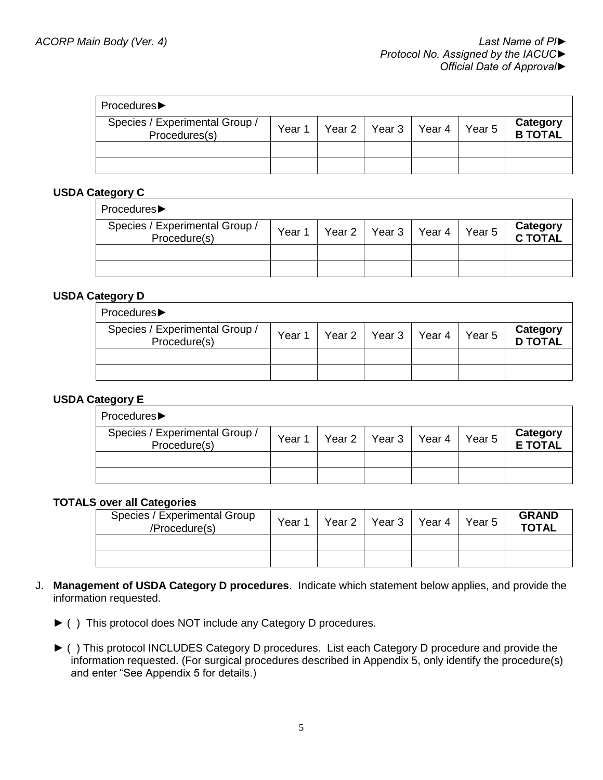| Procedures▶                                     |        |                          |                   |                            |
|-------------------------------------------------|--------|--------------------------|-------------------|----------------------------|
| Species / Experimental Group /<br>Procedures(s) | Year 1 | Year 2   Year 3   Year 4 | Year <sub>5</sub> | Category<br><b>B TOTAL</b> |
|                                                 |        |                          |                   |                            |
|                                                 |        |                          |                   |                            |

## **USDA Category C**

| Procedures▶                                    |        |                 |        |                   |                     |
|------------------------------------------------|--------|-----------------|--------|-------------------|---------------------|
| Species / Experimental Group /<br>Procedure(s) | Year 1 | Year 2   Year 3 | Year 4 | Year <sub>5</sub> | Category<br>C TOTAL |
|                                                |        |                 |        |                   |                     |
|                                                |        |                 |        |                   |                     |

### **USDA Category D**

| Procedures▶                                    |        |                          |        |                            |
|------------------------------------------------|--------|--------------------------|--------|----------------------------|
| Species / Experimental Group /<br>Procedure(s) | Year 1 | Year 2   Year 3   Year 4 | Year 5 | Category<br><b>D TOTAL</b> |
|                                                |        |                          |        |                            |
|                                                |        |                          |        |                            |

## **USDA Category E**

| Procedures▶                                    |        |                 |        |        |                            |
|------------------------------------------------|--------|-----------------|--------|--------|----------------------------|
| Species / Experimental Group /<br>Procedure(s) | Year 1 | Year 2   Year 3 | Year 4 | Year 5 | Category<br><b>E TOTAL</b> |
|                                                |        |                 |        |        |                            |
|                                                |        |                 |        |        |                            |

#### **TOTALS over all Categories**

| Species / Experimental Group<br>/Procedure(s) | Year 1 | Year 2 | Year 3 Year 4 | Year 5 | <b>GRAND</b><br><b>TOTAL</b> |
|-----------------------------------------------|--------|--------|---------------|--------|------------------------------|
|                                               |        |        |               |        |                              |
|                                               |        |        |               |        |                              |

- J. **Management of USDA Category D procedures**. Indicate which statement below applies, and provide the information requested.
	- ► ( ) This protocol does NOT include any Category D procedures.
	- ► ( ) This protocol INCLUDES Category D procedures. List each Category D procedure and provide the information requested. (For surgical procedures described in Appendix 5, only identify the procedure(s) and enter "See Appendix 5 for details.)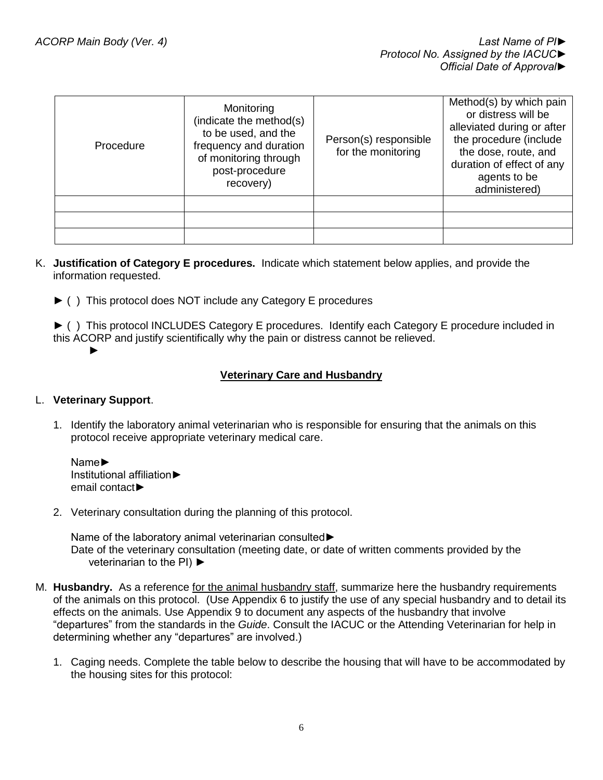| Procedure | Monitoring<br>(indicate the method(s)<br>to be used, and the<br>frequency and duration<br>of monitoring through<br>post-procedure<br>recovery) | Person(s) responsible<br>for the monitoring | Method(s) by which pain<br>or distress will be<br>alleviated during or after<br>the procedure (include<br>the dose, route, and<br>duration of effect of any<br>agents to be<br>administered) |
|-----------|------------------------------------------------------------------------------------------------------------------------------------------------|---------------------------------------------|----------------------------------------------------------------------------------------------------------------------------------------------------------------------------------------------|
|           |                                                                                                                                                |                                             |                                                                                                                                                                                              |
|           |                                                                                                                                                |                                             |                                                                                                                                                                                              |
|           |                                                                                                                                                |                                             |                                                                                                                                                                                              |

- K. **Justification of Category E procedures.** Indicate which statement below applies, and provide the information requested.
	- ► ( ) This protocol does NOT include any Category E procedures

► ( ) This protocol INCLUDES Category E procedures. Identify each Category E procedure included in this ACORP and justify scientifically why the pain or distress cannot be relieved. ►

### **Veterinary Care and Husbandry**

#### L. **Veterinary Support**.

1. Identify the laboratory animal veterinarian who is responsible for ensuring that the animals on this protocol receive appropriate veterinary medical care.

Name► Institutional affiliation► email contact►

2. Veterinary consultation during the planning of this protocol.

Name of the laboratory animal veterinarian consulted► Date of the veterinary consultation (meeting date, or date of written comments provided by the veterinarian to the PI) ►

- M. **Husbandry.** As a reference for the animal husbandry staff, summarize here the husbandry requirements of the animals on this protocol. (Use Appendix 6 to justify the use of any special husbandry and to detail its effects on the animals. Use Appendix 9 to document any aspects of the husbandry that involve "departures" from the standards in the *Guide*. Consult the IACUC or the Attending Veterinarian for help in determining whether any "departures" are involved.)
	- 1. Caging needs. Complete the table below to describe the housing that will have to be accommodated by the housing sites for this protocol: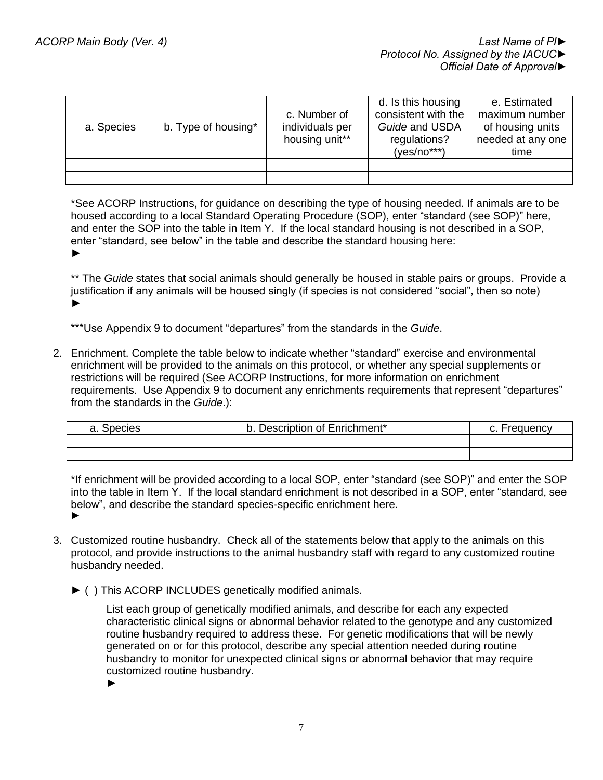| a. Species | b. Type of housing* | c. Number of<br>individuals per<br>housing unit** | d. Is this housing<br>consistent with the<br>Guide and USDA<br>regulations?<br>$(yes/no***)$ | e. Estimated<br>maximum number<br>of housing units<br>needed at any one<br>time |
|------------|---------------------|---------------------------------------------------|----------------------------------------------------------------------------------------------|---------------------------------------------------------------------------------|
|            |                     |                                                   |                                                                                              |                                                                                 |
|            |                     |                                                   |                                                                                              |                                                                                 |

\*See ACORP Instructions, for guidance on describing the type of housing needed. If animals are to be housed according to a local Standard Operating Procedure (SOP), enter "standard (see SOP)" here, and enter the SOP into the table in Item Y. If the local standard housing is not described in a SOP, enter "standard, see below" in the table and describe the standard housing here: ►

\*\* The *Guide* states that social animals should generally be housed in stable pairs or groups. Provide a justification if any animals will be housed singly (if species is not considered "social", then so note) ►

\*\*\*Use Appendix 9 to document "departures" from the standards in the *Guide*.

2. Enrichment. Complete the table below to indicate whether "standard" exercise and environmental enrichment will be provided to the animals on this protocol, or whether any special supplements or restrictions will be required (See ACORP Instructions, for more information on enrichment requirements. Use Appendix 9 to document any enrichments requirements that represent "departures" from the standards in the *Guide*.):

| a. Species | Description of Enrichment* | Frequency |
|------------|----------------------------|-----------|
|            |                            |           |
|            |                            |           |

\*If enrichment will be provided according to a local SOP, enter "standard (see SOP)" and enter the SOP into the table in Item Y. If the local standard enrichment is not described in a SOP, enter "standard, see below", and describe the standard species-specific enrichment here. ►

- 3. Customized routine husbandry. Check all of the statements below that apply to the animals on this protocol, and provide instructions to the animal husbandry staff with regard to any customized routine husbandry needed.
	- ► ( ) This ACORP INCLUDES genetically modified animals.

List each group of genetically modified animals, and describe for each any expected characteristic clinical signs or abnormal behavior related to the genotype and any customized routine husbandry required to address these. For genetic modifications that will be newly generated on or for this protocol, describe any special attention needed during routine husbandry to monitor for unexpected clinical signs or abnormal behavior that may require customized routine husbandry.

►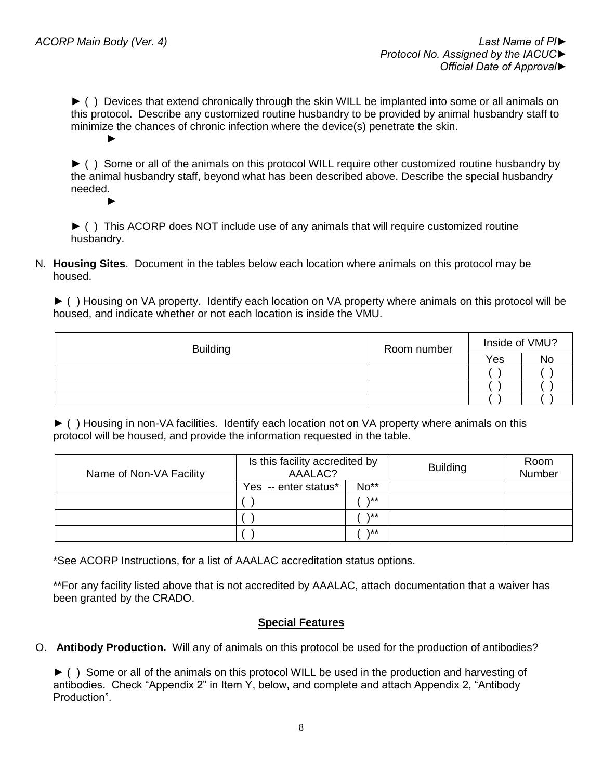►

► ( ) Devices that extend chronically through the skin WILL be implanted into some or all animals on this protocol. Describe any customized routine husbandry to be provided by animal husbandry staff to minimize the chances of chronic infection where the device(s) penetrate the skin. ►

► ( ) Some or all of the animals on this protocol WILL require other customized routine husbandry by the animal husbandry staff, beyond what has been described above. Describe the special husbandry needed.

► ( ) This ACORP does NOT include use of any animals that will require customized routine husbandry.

N. **Housing Sites**. Document in the tables below each location where animals on this protocol may be housed.

► ( ) Housing on VA property. Identify each location on VA property where animals on this protocol will be housed, and indicate whether or not each location is inside the VMU.

| <b>Building</b> | Room number | Inside of VMU? |           |  |
|-----------------|-------------|----------------|-----------|--|
|                 |             | Yes            | <b>No</b> |  |
|                 |             |                |           |  |
|                 |             |                |           |  |
|                 |             |                |           |  |

► ( ) Housing in non-VA facilities. Identify each location not on VA property where animals on this protocol will be housed, and provide the information requested in the table.

| Name of Non-VA Facility | Is this facility accredited by<br>AAALAC? |              | <b>Building</b> | Room<br>Number |
|-------------------------|-------------------------------------------|--------------|-----------------|----------------|
|                         | Yes -- enter status*                      | No**         |                 |                |
|                         |                                           | **\          |                 |                |
|                         |                                           | \**          |                 |                |
|                         |                                           | $\star\star$ |                 |                |

\*See ACORP Instructions, for a list of AAALAC accreditation status options.

\*\*For any facility listed above that is not accredited by AAALAC, attach documentation that a waiver has been granted by the CRADO.

#### **Special Features**

O. **Antibody Production.** Will any of animals on this protocol be used for the production of antibodies?

► ( ) Some or all of the animals on this protocol WILL be used in the production and harvesting of antibodies. Check "Appendix 2" in Item Y, below, and complete and attach Appendix 2, "Antibody Production".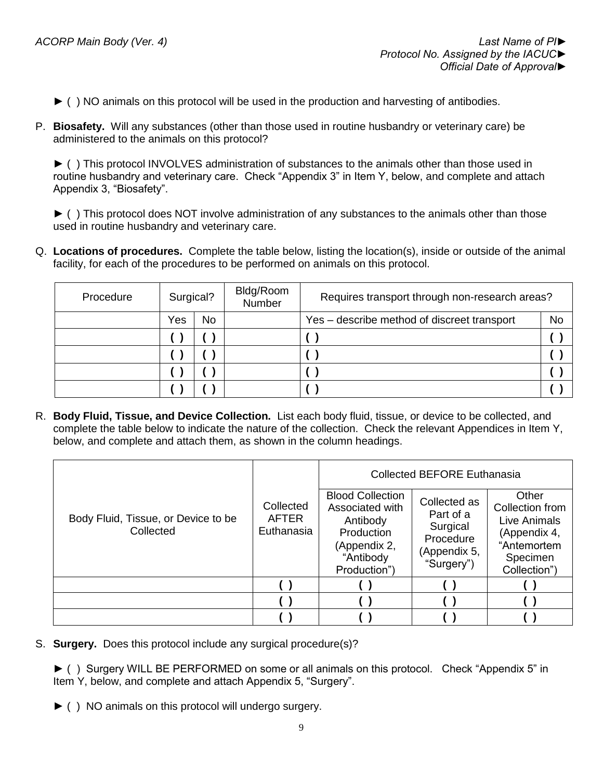- ► ( ) NO animals on this protocol will be used in the production and harvesting of antibodies.
- P. **Biosafety.** Will any substances (other than those used in routine husbandry or veterinary care) be administered to the animals on this protocol?

► ( ) This protocol INVOLVES administration of substances to the animals other than those used in routine husbandry and veterinary care. Check "Appendix 3" in Item Y, below, and complete and attach Appendix 3, "Biosafety".

► ( ) This protocol does NOT involve administration of any substances to the animals other than those used in routine husbandry and veterinary care.

Q. **Locations of procedures.** Complete the table below, listing the location(s), inside or outside of the animal facility, for each of the procedures to be performed on animals on this protocol.

| Procedure | Surgical? |    | Bldg/Room<br>Number | Requires transport through non-research areas? |    |
|-----------|-----------|----|---------------------|------------------------------------------------|----|
|           | Yes       | No |                     | Yes – describe method of discreet transport    | No |
|           |           |    |                     |                                                |    |
|           |           |    |                     |                                                |    |
|           |           |    |                     |                                                |    |
|           |           |    |                     |                                                |    |

R. **Body Fluid, Tissue, and Device Collection.** List each body fluid, tissue, or device to be collected, and complete the table below to indicate the nature of the collection. Check the relevant Appendices in Item Y, below, and complete and attach them, as shown in the column headings.

|                                                  |                                         | <b>Collected BEFORE Euthanasia</b>                                                                                |                                                                                  |                                                                                                     |  |
|--------------------------------------------------|-----------------------------------------|-------------------------------------------------------------------------------------------------------------------|----------------------------------------------------------------------------------|-----------------------------------------------------------------------------------------------------|--|
| Body Fluid, Tissue, or Device to be<br>Collected | Collected<br><b>AFTER</b><br>Euthanasia | <b>Blood Collection</b><br>Associated with<br>Antibody<br>Production<br>(Appendix 2,<br>"Antibody<br>Production") | Collected as<br>Part of a<br>Surgical<br>Procedure<br>(Appendix 5,<br>"Surgery") | Other<br>Collection from<br>Live Animals<br>(Appendix 4,<br>"Antemortem<br>Specimen<br>Collection") |  |
|                                                  |                                         |                                                                                                                   |                                                                                  |                                                                                                     |  |
|                                                  |                                         |                                                                                                                   |                                                                                  |                                                                                                     |  |
|                                                  |                                         |                                                                                                                   |                                                                                  |                                                                                                     |  |

S. **Surgery.** Does this protocol include any surgical procedure(s)?

► ( ) Surgery WILL BE PERFORMED on some or all animals on this protocol. Check "Appendix 5" in Item Y, below, and complete and attach Appendix 5, "Surgery".

► ( ) NO animals on this protocol will undergo surgery.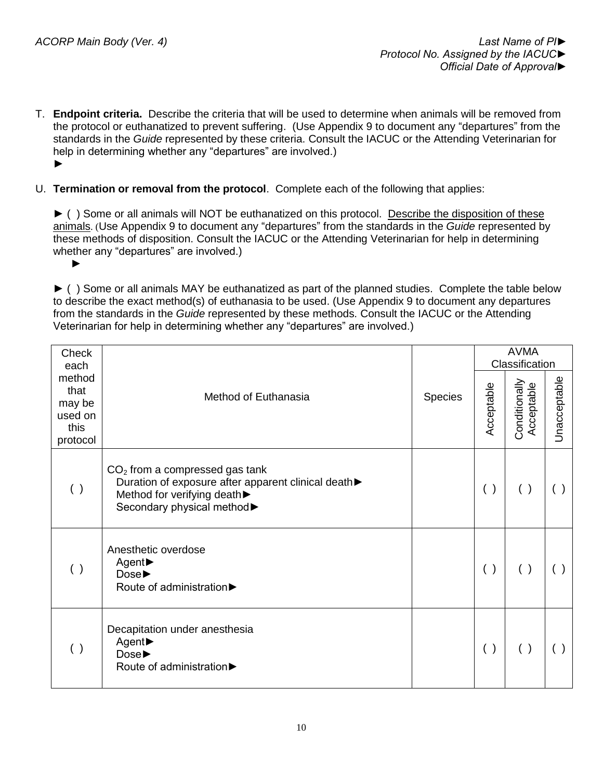►

- T. **Endpoint criteria.** Describe the criteria that will be used to determine when animals will be removed from the protocol or euthanatized to prevent suffering. (Use Appendix 9 to document any "departures" from the standards in the *Guide* represented by these criteria. Consult the IACUC or the Attending Veterinarian for help in determining whether any "departures" are involved.) ►
- U. **Termination or removal from the protocol**. Complete each of the following that applies:

► ( ) Some or all animals will NOT be euthanatized on this protocol. Describe the disposition of these animals. (Use Appendix 9 to document any "departures" from the standards in the *Guide* represented by these methods of disposition. Consult the IACUC or the Attending Veterinarian for help in determining whether any "departures" are involved.)

► ( ) Some or all animals MAY be euthanatized as part of the planned studies. Complete the table below to describe the exact method(s) of euthanasia to be used. (Use Appendix 9 to document any departures from the standards in the *Guide* represented by these methods. Consult the IACUC or the Attending Veterinarian for help in determining whether any "departures" are involved.)

| Check<br>each                                           |                                                                                                                                                        |         | <b>AVMA</b><br>Classification |                             |              |  |
|---------------------------------------------------------|--------------------------------------------------------------------------------------------------------------------------------------------------------|---------|-------------------------------|-----------------------------|--------------|--|
| method<br>that<br>may be<br>used on<br>this<br>protocol | Method of Euthanasia                                                                                                                                   | Species | Acceptable                    | Conditionally<br>Acceptable | Unacceptable |  |
| ( )                                                     | $CO2$ from a compressed gas tank<br>Duration of exposure after apparent clinical death▶<br>Method for verifying death ><br>Secondary physical method > |         | ( )                           | ( )                         | ( )          |  |
| ( )                                                     | Anesthetic overdose<br>Agent▶<br>Dose<br>Route of administration                                                                                       |         | ( )                           | ( )                         |              |  |
| ( )                                                     | Decapitation under anesthesia<br>Agent▶<br>Dose▶<br>Route of administration▶                                                                           |         | ( )                           | ( )                         |              |  |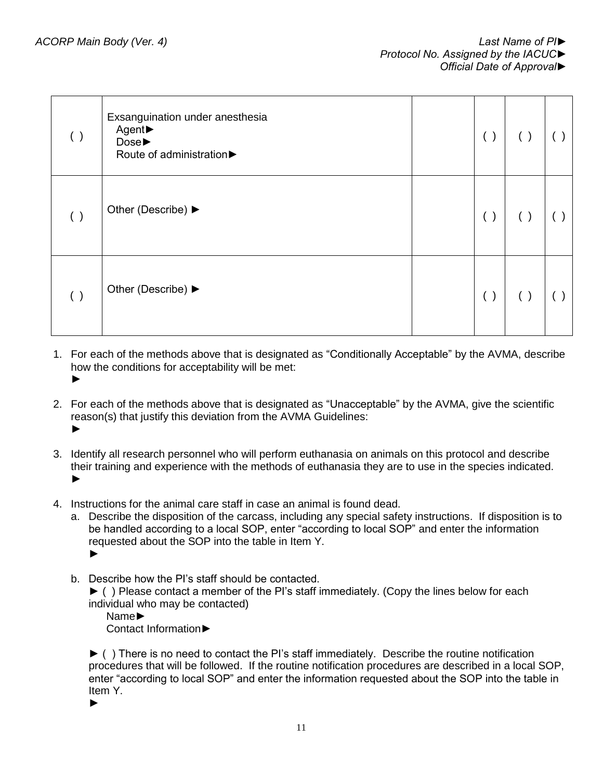| ( ) | Exsanguination under anesthesia<br>Agent▶<br>Dose▶<br>Route of administration | ( ) | $($ ) |  |
|-----|-------------------------------------------------------------------------------|-----|-------|--|
| ( ) | Other (Describe) ▶                                                            | ( ) | $($ ) |  |
| ( ) | Other (Describe) ▶                                                            | ( ) | ( )   |  |

- 1. For each of the methods above that is designated as "Conditionally Acceptable" by the AVMA, describe how the conditions for acceptability will be met: ►
- 2. For each of the methods above that is designated as "Unacceptable" by the AVMA, give the scientific reason(s) that justify this deviation from the AVMA Guidelines: ►
- 3. Identify all research personnel who will perform euthanasia on animals on this protocol and describe their training and experience with the methods of euthanasia they are to use in the species indicated. ►
- 4. Instructions for the animal care staff in case an animal is found dead.
	- a. Describe the disposition of the carcass, including any special safety instructions. If disposition is to be handled according to a local SOP, enter "according to local SOP" and enter the information requested about the SOP into the table in Item Y. ►
	- b. Describe how the PI's staff should be contacted.

► ( ) Please contact a member of the PI's staff immediately. (Copy the lines below for each individual who may be contacted)

Name►

Contact Information►

► ( ) There is no need to contact the PI's staff immediately. Describe the routine notification procedures that will be followed. If the routine notification procedures are described in a local SOP, enter "according to local SOP" and enter the information requested about the SOP into the table in Item Y.

►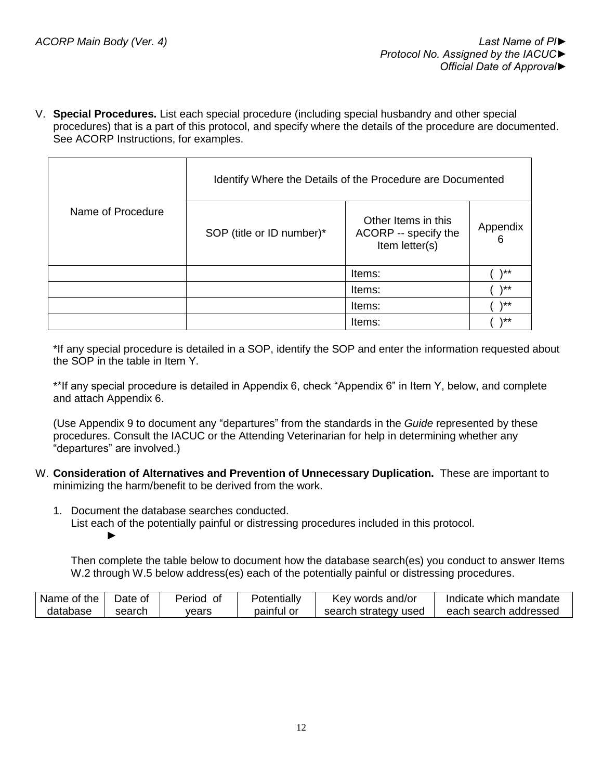V. **Special Procedures.** List each special procedure (including special husbandry and other special procedures) that is a part of this protocol, and specify where the details of the procedure are documented. See ACORP Instructions, for examples.

|                   | Identify Where the Details of the Procedure are Documented |                                                               |               |  |  |  |
|-------------------|------------------------------------------------------------|---------------------------------------------------------------|---------------|--|--|--|
| Name of Procedure | SOP (title or ID number)*                                  | Other Items in this<br>ACORP -- specify the<br>Item letter(s) | Appendix<br>6 |  |  |  |
|                   |                                                            | Items:                                                        | $\star\star$  |  |  |  |
|                   |                                                            | Items:                                                        | \**           |  |  |  |
|                   |                                                            | Items:                                                        | $**$          |  |  |  |
|                   |                                                            | Items:                                                        | \**           |  |  |  |

\*If any special procedure is detailed in a SOP, identify the SOP and enter the information requested about the SOP in the table in Item Y.

\*\*If any special procedure is detailed in Appendix 6, check "Appendix 6" in Item Y, below, and complete and attach Appendix 6.

(Use Appendix 9 to document any "departures" from the standards in the *Guide* represented by these procedures. Consult the IACUC or the Attending Veterinarian for help in determining whether any "departures" are involved.)

- W. **Consideration of Alternatives and Prevention of Unnecessary Duplication.** These are important to minimizing the harm/benefit to be derived from the work.
	- 1. Document the database searches conducted. List each of the potentially painful or distressing procedures included in this protocol. ►

Then complete the table below to document how the database search(es) you conduct to answer Items W.2 through W.5 below address(es) each of the potentially painful or distressing procedures.

| Name of the | Date of | Period of | Potentially | Key words and/or     | Indicate which mandate |
|-------------|---------|-----------|-------------|----------------------|------------------------|
| database    | search  | vears     | paintul or  | search strategy used | each search addressed  |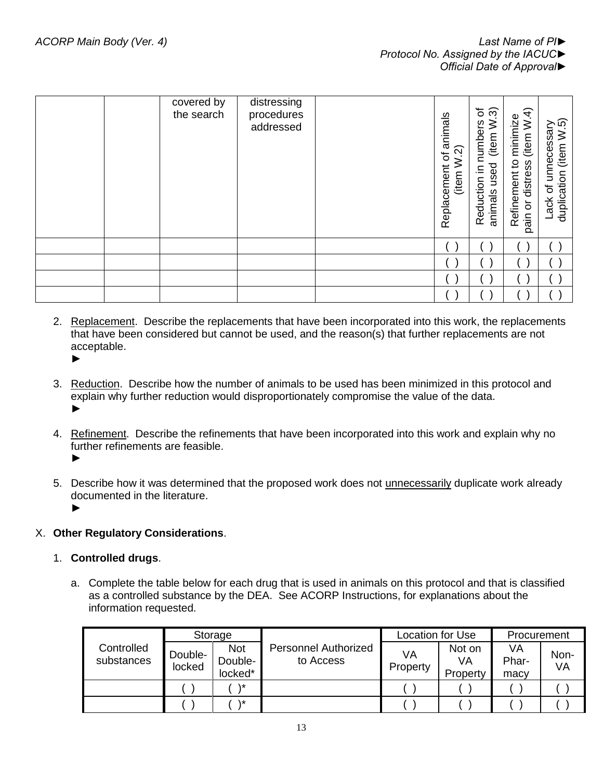|  | covered by<br>the search | distressing<br>procedures<br>addressed | animals<br>ର<br>$\sigma$<br>Replacement<br>(item | ৳<br>ၐ<br>numbers<br>≥<br>(item<br>used<br>≘.<br>Reduction<br>animals | W.4)<br>minimize<br>(item<br>Refinement to<br>distress<br>$\overline{5}$<br>pain | (item W.5)<br>Lack of unnecessary<br>duplication |
|--|--------------------------|----------------------------------------|--------------------------------------------------|-----------------------------------------------------------------------|----------------------------------------------------------------------------------|--------------------------------------------------|
|  |                          |                                        |                                                  |                                                                       |                                                                                  |                                                  |
|  |                          |                                        |                                                  |                                                                       |                                                                                  |                                                  |
|  |                          |                                        |                                                  |                                                                       |                                                                                  |                                                  |
|  |                          |                                        |                                                  |                                                                       |                                                                                  |                                                  |

- 2. Replacement. Describe the replacements that have been incorporated into this work, the replacements that have been considered but cannot be used, and the reason(s) that further replacements are not acceptable. ►
- 3. Reduction. Describe how the number of animals to be used has been minimized in this protocol and explain why further reduction would disproportionately compromise the value of the data. ►
- 4. Refinement. Describe the refinements that have been incorporated into this work and explain why no further refinements are feasible. ►
- 5. Describe how it was determined that the proposed work does not unnecessarily duplicate work already documented in the literature. ►
- X. **Other Regulatory Considerations**.
	- 1. **Controlled drugs**.
		- a. Complete the table below for each drug that is used in animals on this protocol and that is classified as a controlled substance by the DEA. See ACORP Instructions, for explanations about the information requested.

|                          | Storage           |                                  |                                          | <b>Location for Use</b> |                          | Procurement         |            |
|--------------------------|-------------------|----------------------------------|------------------------------------------|-------------------------|--------------------------|---------------------|------------|
| Controlled<br>substances | Double-<br>locked | <b>Not</b><br>Double-<br>locked* | <b>Personnel Authorized</b><br>to Access | VA<br>Property          | Not on<br>VA<br>Property | VA<br>Phar-<br>macy | Non-<br>VA |
|                          |                   | 1*                               |                                          |                         |                          |                     |            |
|                          |                   | ۰*                               |                                          |                         |                          |                     |            |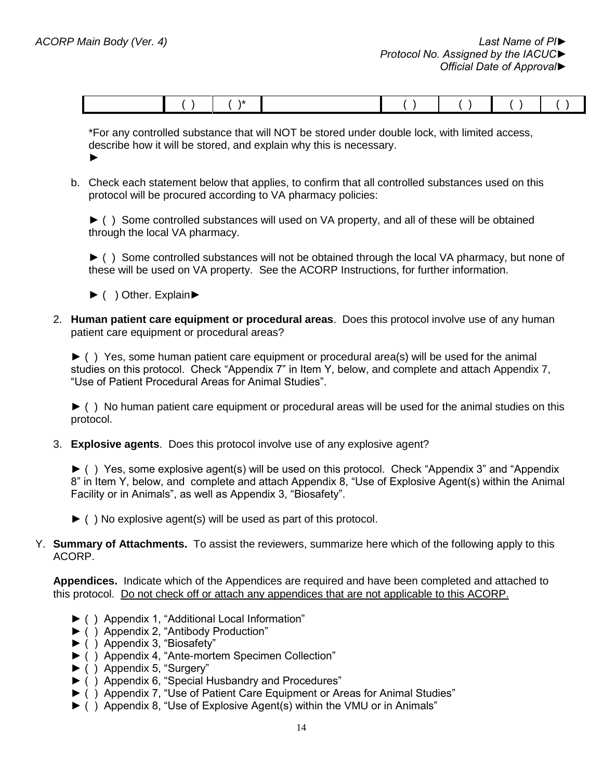\*For any controlled substance that will NOT be stored under double lock, with limited access, describe how it will be stored, and explain why this is necessary. ►

b. Check each statement below that applies, to confirm that all controlled substances used on this protocol will be procured according to VA pharmacy policies:

► ( ) Some controlled substances will used on VA property, and all of these will be obtained through the local VA pharmacy.

► ( ) Some controlled substances will not be obtained through the local VA pharmacy, but none of these will be used on VA property. See the ACORP Instructions, for further information.

- ► ( ) Other. Explain►
- 2. **Human patient care equipment or procedural areas**. Does this protocol involve use of any human patient care equipment or procedural areas?

► ( ) Yes, some human patient care equipment or procedural area(s) will be used for the animal studies on this protocol. Check "Appendix 7" in Item Y, below, and complete and attach Appendix 7, "Use of Patient Procedural Areas for Animal Studies".

► ( ) No human patient care equipment or procedural areas will be used for the animal studies on this protocol.

3. **Explosive agents**. Does this protocol involve use of any explosive agent?

► ( ) Yes, some explosive agent(s) will be used on this protocol. Check "Appendix 3" and "Appendix 8" in Item Y, below, and complete and attach Appendix 8, "Use of Explosive Agent(s) within the Animal Facility or in Animals", as well as Appendix 3, "Biosafety".

- $\blacktriangleright$  ( ) No explosive agent(s) will be used as part of this protocol.
- Y. **Summary of Attachments.** To assist the reviewers, summarize here which of the following apply to this ACORP.

**Appendices.** Indicate which of the Appendices are required and have been completed and attached to this protocol. Do not check off or attach any appendices that are not applicable to this ACORP.

- ► ( ) Appendix 1, "Additional Local Information"
- ► ( ) Appendix 2, "Antibody Production"
- ► ( ) Appendix 3, "Biosafety"
- ► ( ) Appendix 4, "Ante-mortem Specimen Collection"
- ► ( ) Appendix 5, "Surgery"
- ► ( ) Appendix 6, "Special Husbandry and Procedures"
- ► ( ) Appendix 7, "Use of Patient Care Equipment or Areas for Animal Studies"
- ► ( ) Appendix 8, "Use of Explosive Agent(s) within the VMU or in Animals"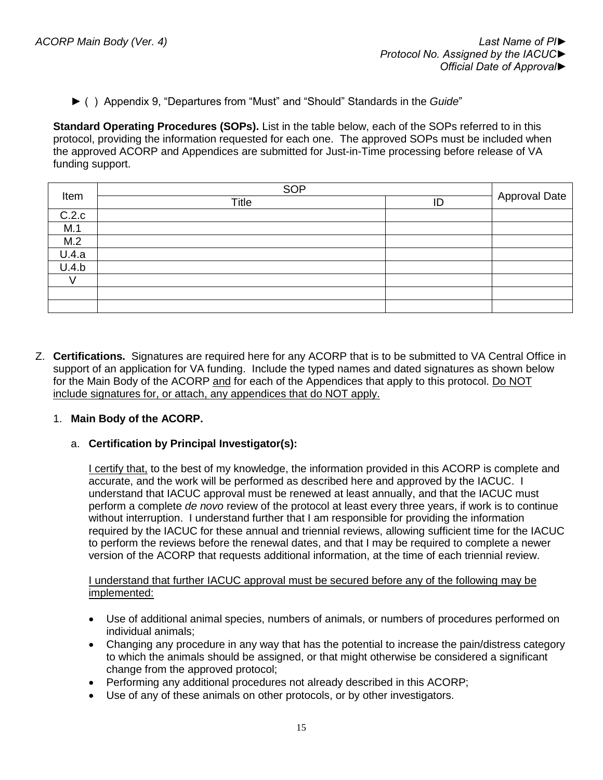► ( ) Appendix 9, "Departures from "Must" and "Should" Standards in the *Guide*"

**Standard Operating Procedures (SOPs).** List in the table below, each of the SOPs referred to in this protocol, providing the information requested for each one. The approved SOPs must be included when the approved ACORP and Appendices are submitted for Just-in-Time processing before release of VA funding support.

|       | <b>SOP</b>   |    |                      |
|-------|--------------|----|----------------------|
| Item  | <b>Title</b> | ID | <b>Approval Date</b> |
| C.2.c |              |    |                      |
| M.1   |              |    |                      |
| M.2   |              |    |                      |
| U.4.a |              |    |                      |
| U.4.b |              |    |                      |
|       |              |    |                      |
|       |              |    |                      |
|       |              |    |                      |

Z. **Certifications.** Signatures are required here for any ACORP that is to be submitted to VA Central Office in support of an application for VA funding. Include the typed names and dated signatures as shown below for the Main Body of the ACORP and for each of the Appendices that apply to this protocol. Do NOT include signatures for, or attach, any appendices that do NOT apply.

## 1. **Main Body of the ACORP.**

## a. **Certification by Principal Investigator(s):**

I certify that, to the best of my knowledge, the information provided in this ACORP is complete and accurate, and the work will be performed as described here and approved by the IACUC. I understand that IACUC approval must be renewed at least annually, and that the IACUC must perform a complete *de novo* review of the protocol at least every three years, if work is to continue without interruption. I understand further that I am responsible for providing the information required by the IACUC for these annual and triennial reviews, allowing sufficient time for the IACUC to perform the reviews before the renewal dates, and that I may be required to complete a newer version of the ACORP that requests additional information, at the time of each triennial review.

### I understand that further IACUC approval must be secured before any of the following may be implemented:

- Use of additional animal species, numbers of animals, or numbers of procedures performed on individual animals;
- Changing any procedure in any way that has the potential to increase the pain/distress category to which the animals should be assigned, or that might otherwise be considered a significant change from the approved protocol;
- Performing any additional procedures not already described in this ACORP;
- Use of any of these animals on other protocols, or by other investigators.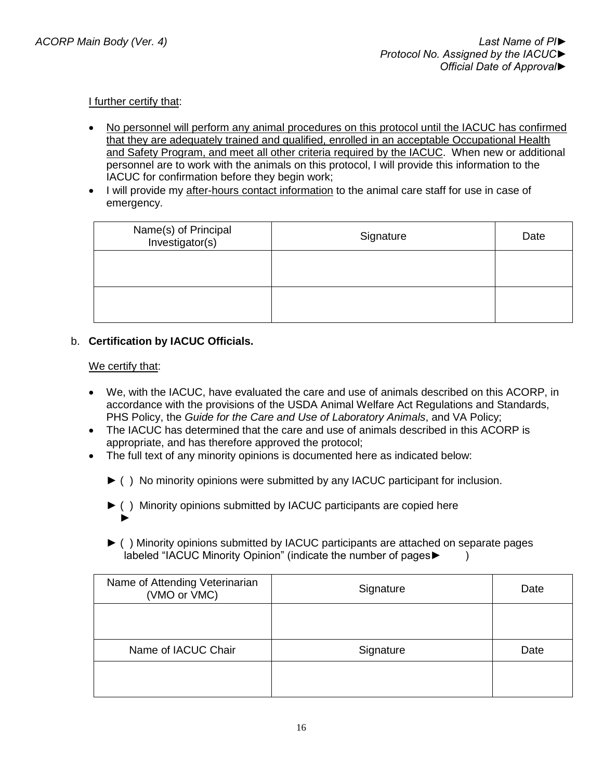## I further certify that:

- No personnel will perform any animal procedures on this protocol until the IACUC has confirmed that they are adequately trained and qualified, enrolled in an acceptable Occupational Health and Safety Program, and meet all other criteria required by the IACUC. When new or additional personnel are to work with the animals on this protocol, I will provide this information to the IACUC for confirmation before they begin work;
- I will provide my after-hours contact information to the animal care staff for use in case of emergency.

| Name(s) of Principal<br>Investigator(s) | Signature | Date |
|-----------------------------------------|-----------|------|
|                                         |           |      |
|                                         |           |      |

b. **Certification by IACUC Officials.**

### We certify that:

- We, with the IACUC, have evaluated the care and use of animals described on this ACORP, in accordance with the provisions of the USDA Animal Welfare Act Regulations and Standards, PHS Policy, the *Guide for the Care and Use of Laboratory Animals*, and VA Policy;
- The IACUC has determined that the care and use of animals described in this ACORP is appropriate, and has therefore approved the protocol;
- The full text of any minority opinions is documented here as indicated below:
	- ► ( ) No minority opinions were submitted by any IACUC participant for inclusion.
	- ► ( ) Minority opinions submitted by IACUC participants are copied here ►
	- ► ( ) Minority opinions submitted by IACUC participants are attached on separate pages labeled "IACUC Minority Opinion" (indicate the number of pages► )

| Name of Attending Veterinarian<br>(VMO or VMC) | Signature | Date |
|------------------------------------------------|-----------|------|
|                                                |           |      |
| Name of IACUC Chair                            | Signature | Date |
|                                                |           |      |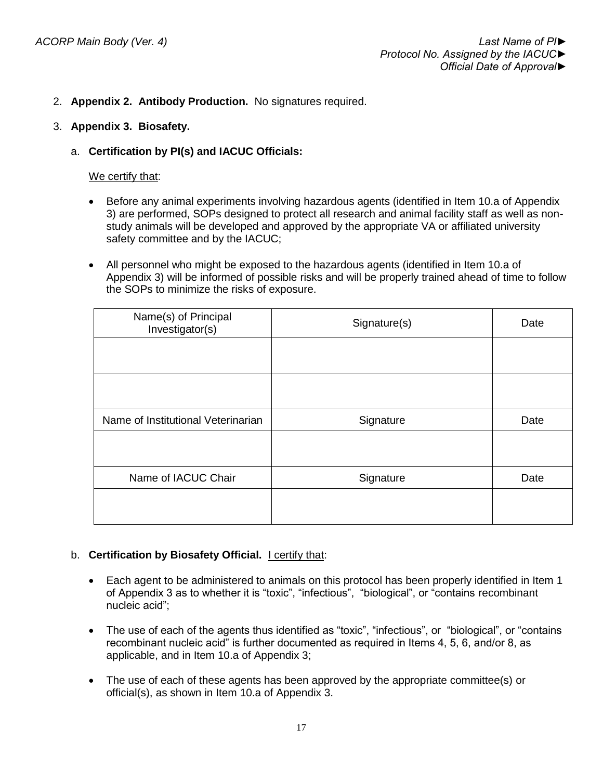- 2. **Appendix 2. Antibody Production.** No signatures required.
- 3. **Appendix 3. Biosafety.**
	- a. **Certification by PI(s) and IACUC Officials:**

We certify that:

- Before any animal experiments involving hazardous agents (identified in Item 10.a of Appendix 3) are performed, SOPs designed to protect all research and animal facility staff as well as nonstudy animals will be developed and approved by the appropriate VA or affiliated university safety committee and by the IACUC;
- All personnel who might be exposed to the hazardous agents (identified in Item 10.a of Appendix 3) will be informed of possible risks and will be properly trained ahead of time to follow the SOPs to minimize the risks of exposure.

| Name(s) of Principal<br>Investigator(s) | Signature(s) | Date |
|-----------------------------------------|--------------|------|
|                                         |              |      |
|                                         |              |      |
| Name of Institutional Veterinarian      | Signature    | Date |
|                                         |              |      |
| Name of IACUC Chair                     | Signature    | Date |
|                                         |              |      |

## b. **Certification by Biosafety Official.** I certify that:

- Each agent to be administered to animals on this protocol has been properly identified in Item 1 of Appendix 3 as to whether it is "toxic", "infectious", "biological", or "contains recombinant nucleic acid";
- The use of each of the agents thus identified as "toxic", "infectious", or "biological", or "contains recombinant nucleic acid" is further documented as required in Items 4, 5, 6, and/or 8, as applicable, and in Item 10.a of Appendix 3;
- The use of each of these agents has been approved by the appropriate committee(s) or official(s), as shown in Item 10.a of Appendix 3.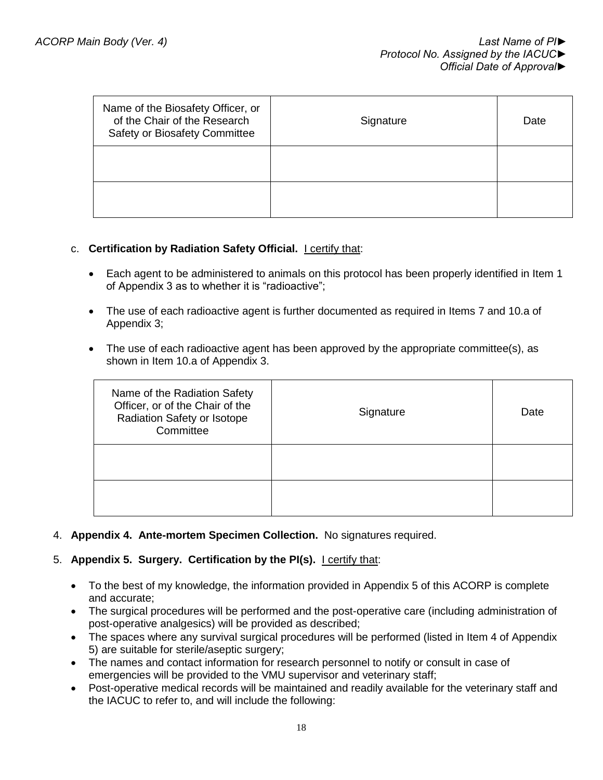| Name of the Biosafety Officer, or<br>of the Chair of the Research<br>Safety or Biosafety Committee | Signature | Date |
|----------------------------------------------------------------------------------------------------|-----------|------|
|                                                                                                    |           |      |
|                                                                                                    |           |      |

### c. **Certification by Radiation Safety Official.** I certify that:

- Each agent to be administered to animals on this protocol has been properly identified in Item 1 of Appendix 3 as to whether it is "radioactive";
- The use of each radioactive agent is further documented as required in Items 7 and 10.a of Appendix 3;
- The use of each radioactive agent has been approved by the appropriate committee(s), as shown in Item 10.a of Appendix 3.

| Name of the Radiation Safety<br>Officer, or of the Chair of the<br>Radiation Safety or Isotope<br>Committee | Signature | Date |
|-------------------------------------------------------------------------------------------------------------|-----------|------|
|                                                                                                             |           |      |
|                                                                                                             |           |      |

4. **Appendix 4. Ante-mortem Specimen Collection.** No signatures required.

#### 5. **Appendix 5. Surgery. Certification by the PI(s).** I certify that:

- To the best of my knowledge, the information provided in Appendix 5 of this ACORP is complete and accurate;
- The surgical procedures will be performed and the post-operative care (including administration of post-operative analgesics) will be provided as described;
- The spaces where any survival surgical procedures will be performed (listed in Item 4 of Appendix 5) are suitable for sterile/aseptic surgery;
- The names and contact information for research personnel to notify or consult in case of emergencies will be provided to the VMU supervisor and veterinary staff;
- Post-operative medical records will be maintained and readily available for the veterinary staff and the IACUC to refer to, and will include the following: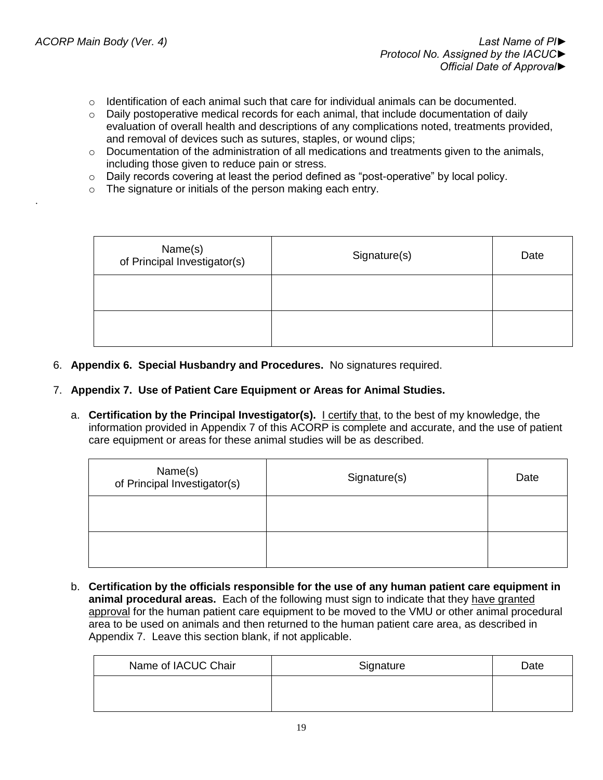.

- $\circ$  Identification of each animal such that care for individual animals can be documented.
- $\circ$  Daily postoperative medical records for each animal, that include documentation of daily evaluation of overall health and descriptions of any complications noted, treatments provided, and removal of devices such as sutures, staples, or wound clips;
- $\circ$  Documentation of the administration of all medications and treatments given to the animals, including those given to reduce pain or stress.
- $\circ$  Daily records covering at least the period defined as "post-operative" by local policy.
- o The signature or initials of the person making each entry.

| Name(s)<br>of Principal Investigator(s) | Signature(s) | Date |
|-----------------------------------------|--------------|------|
|                                         |              |      |
|                                         |              |      |

- 6. **Appendix 6. Special Husbandry and Procedures.** No signatures required.
- 7. **Appendix 7. Use of Patient Care Equipment or Areas for Animal Studies.**
	- a. **Certification by the Principal Investigator(s).** I certify that, to the best of my knowledge, the information provided in Appendix 7 of this ACORP is complete and accurate, and the use of patient care equipment or areas for these animal studies will be as described.

| Name(s)<br>of Principal Investigator(s) | Signature(s) | Date |
|-----------------------------------------|--------------|------|
|                                         |              |      |
|                                         |              |      |

b. **Certification by the officials responsible for the use of any human patient care equipment in animal procedural areas.** Each of the following must sign to indicate that they have granted approval for the human patient care equipment to be moved to the VMU or other animal procedural area to be used on animals and then returned to the human patient care area, as described in Appendix 7. Leave this section blank, if not applicable.

| Name of IACUC Chair | Signature | Date |
|---------------------|-----------|------|
|                     |           |      |
|                     |           |      |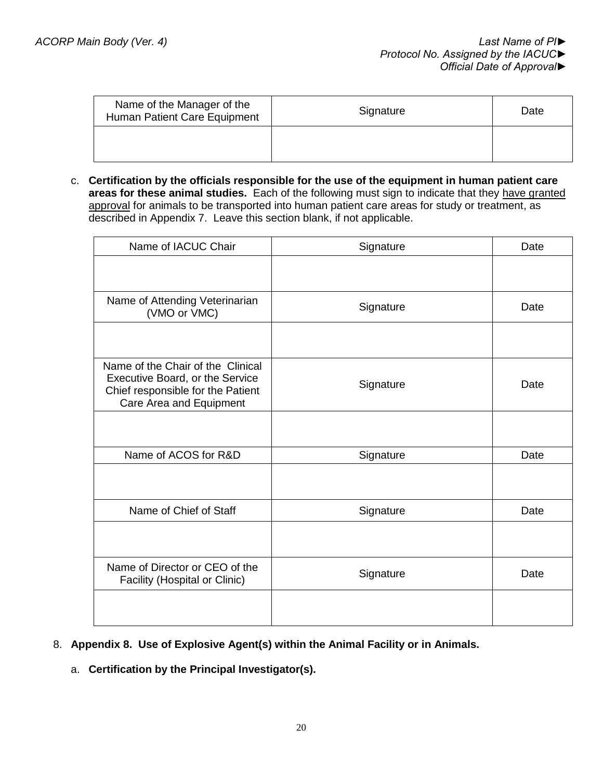| Name of the Manager of the<br>Human Patient Care Equipment | Signature | Date |
|------------------------------------------------------------|-----------|------|
|                                                            |           |      |

c. **Certification by the officials responsible for the use of the equipment in human patient care areas for these animal studies.** Each of the following must sign to indicate that they have granted approval for animals to be transported into human patient care areas for study or treatment, as described in Appendix 7. Leave this section blank, if not applicable.

| Name of IACUC Chair                                                                                                                  | Signature | Date |
|--------------------------------------------------------------------------------------------------------------------------------------|-----------|------|
|                                                                                                                                      |           |      |
| Name of Attending Veterinarian<br>(VMO or VMC)                                                                                       | Signature | Date |
|                                                                                                                                      |           |      |
| Name of the Chair of the Clinical<br>Executive Board, or the Service<br>Chief responsible for the Patient<br>Care Area and Equipment | Signature | Date |
|                                                                                                                                      |           |      |
| Name of ACOS for R&D                                                                                                                 | Signature | Date |
|                                                                                                                                      |           |      |
| Name of Chief of Staff                                                                                                               | Signature | Date |
|                                                                                                                                      |           |      |
| Name of Director or CEO of the<br>Facility (Hospital or Clinic)                                                                      | Signature | Date |
|                                                                                                                                      |           |      |

- 8. **Appendix 8. Use of Explosive Agent(s) within the Animal Facility or in Animals.**
	- a. **Certification by the Principal Investigator(s).**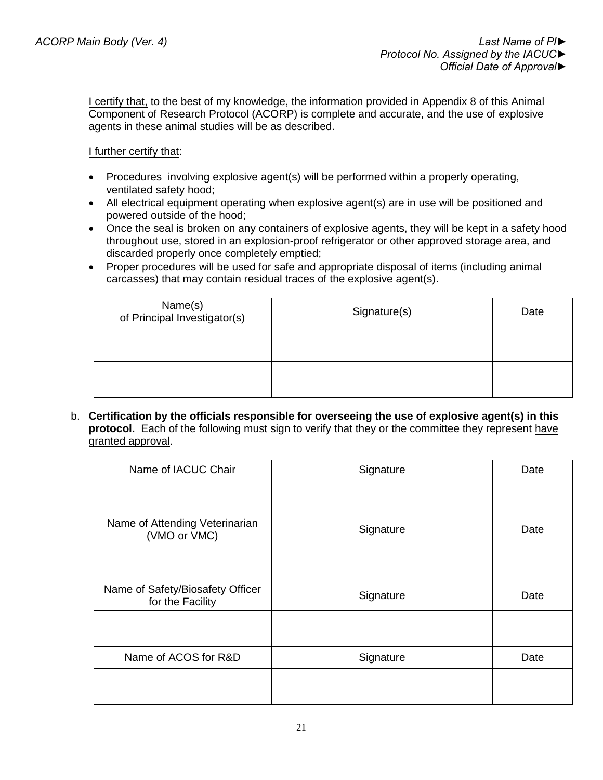**I certify that, to the best of my knowledge, the information provided in Appendix 8 of this Animal** Component of Research Protocol (ACORP) is complete and accurate, and the use of explosive agents in these animal studies will be as described.

## I further certify that:

- Procedures involving explosive agent(s) will be performed within a properly operating, ventilated safety hood;
- All electrical equipment operating when explosive agent(s) are in use will be positioned and powered outside of the hood;
- Once the seal is broken on any containers of explosive agents, they will be kept in a safety hood throughout use, stored in an explosion-proof refrigerator or other approved storage area, and discarded properly once completely emptied;
- Proper procedures will be used for safe and appropriate disposal of items (including animal carcasses) that may contain residual traces of the explosive agent(s).

| Name(s)<br>of Principal Investigator(s) | Signature(s) | Date |
|-----------------------------------------|--------------|------|
|                                         |              |      |
|                                         |              |      |
|                                         |              |      |

b. **Certification by the officials responsible for overseeing the use of explosive agent(s) in this protocol.** Each of the following must sign to verify that they or the committee they represent have granted approval.

| Name of IACUC Chair                                  | Signature | Date |
|------------------------------------------------------|-----------|------|
|                                                      |           |      |
| Name of Attending Veterinarian<br>(VMO or VMC)       | Signature | Date |
|                                                      |           |      |
| Name of Safety/Biosafety Officer<br>for the Facility | Signature | Date |
|                                                      |           |      |
| Name of ACOS for R&D                                 | Signature | Date |
|                                                      |           |      |